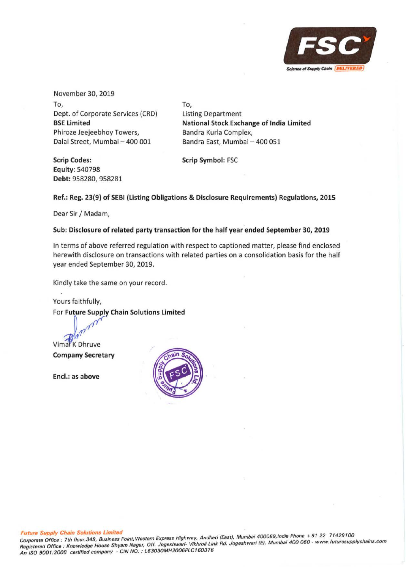

November 30, 2019 To, Dept. of Corporate Services {CRD) **BSE Limited**  Phiroze Jeejeebhoy Towers, Dalal Street, Mumbai - 400 001

**Scrip Codes: Equity:** 540798 **Debt:958280,958281**  To, Listing Department **National Stock Exchange of India Limited**  Bandra Kurla Complex, Bandra East, Mumbai - 400 051

**Scrip Symbol:** FSC

# **Ref.: Reg. 23(9) of SEBI (Listing Obligations & Disclosure Requirements) Regulations, 2015**

Dear Sir/ Madam,

# **Sub: Disclosure of related party transaction for the half year ended September 30, 2019**

In terms of above referred regulation with respect to captioned matter, please find enclosed herewith disclosure on transactions with related parties on a consolidation basis for the half year ended September 30, 2019.

Kindly take the same on your record.

Yours faithfully, For **Future Supply Chain Solutions Limited** 

Vimal K Dhruve

**Company Secretary** 

**Encl.: as above** 

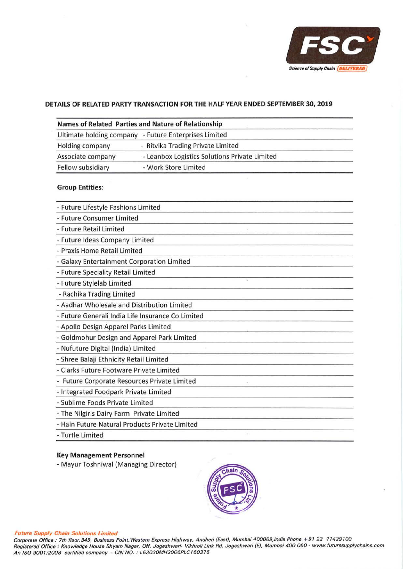

#### **DETAILS OF RELATED PARTY TRANSACTION FOR THE HALF YEAR ENDED SEPTEMBER 30, 2019**

|                   | Names of Related Parties and Nature of Relationship   |  |
|-------------------|-------------------------------------------------------|--|
|                   | Ultimate holding company - Future Enterprises Limited |  |
| Holding company   | - Ritvika Trading Private Limited                     |  |
| Associate company | - Leanbox Logistics Solutions Private Limited         |  |
| Fellow subsidiary | - Work Store Limited                                  |  |

# **Group Entities:**

| - Future Lifestyle Fashions Limited               |  |
|---------------------------------------------------|--|
| - Future Consumer Limited                         |  |
| - Future Retail Limited                           |  |
| - Future Ideas Company Limited                    |  |
| - Praxis Home Retail Limited                      |  |
| - Galaxy Entertainment Corporation Limited        |  |
| - Future Speciality Retail Limited                |  |
| - Future Stylelab Limited                         |  |
| - Rachika Trading Limited                         |  |
| - Aadhar Wholesale and Distribution Limited       |  |
| - Future Generali India Life Insurance Co Limited |  |
| - Apollo Design Apparel Parks Limited             |  |
| - Goldmohur Design and Apparel Park Limited       |  |
| - Nufuture Digital (India) Limited                |  |
| - Shree Balaji Ethnicity Retail Limited           |  |
| - Clarks Future Footware Private Limited          |  |
| - Future Corporate Resources Private Limited      |  |
| - Integrated Foodpark Private Limited             |  |
| - Sublime Foods Private Limited                   |  |
| - The Nilgiris Dairy Farm Private Limited         |  |
| - Hain Future Natural Products Private Limited    |  |
| - Turtle Limited                                  |  |

#### **Key Management Personnel**

- Mayur Toshniwal (Managing Director)



#### *Future Supply Chain Solutions Limited*

Corporate Office : 7th floor. 349, Business Point, Western Express Highway, Andheri (East), Mumbai 400069,/ndia Phone + 91 22 71429100 Registered Office : Knowledge House Shyam Nagar, Off. Jogeshwari- Vikhroli Link Rd. Jogeshwari (EJ, Mumbai 400 060 · www.futuresupplychains.com An ISO 9001:2008 certified company • GIN NO.: L63030MH2006PLC160376